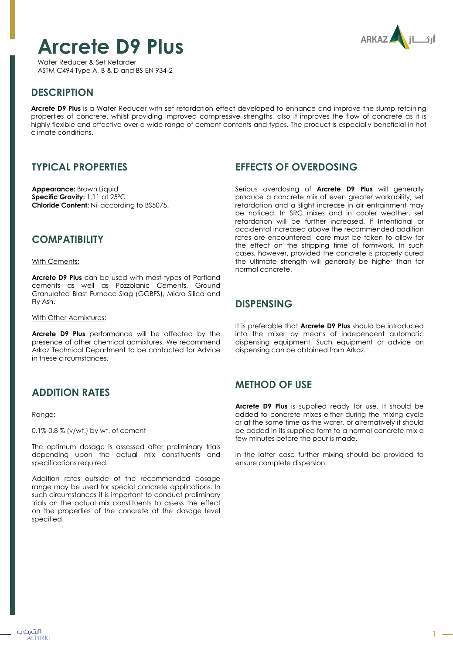# **Arcrete D9 Plus**



Water Reducer & Set Retarder ASTM C494 Type A, B & D and BS EN 934-2

# **DESCRIPTION**

**Arcrete D9 Plus** is a Water Reducer with set retardation effect developed to enhance and improve the slump retaining properties of concrete, whilst providing improved compressive strengths, also it improves the flow of concrete as it is highly flexible and effective over a wide range of cement contents and types. The product is especially beneficial in hot climate conditions.

# **TYPICAL PROPERTIES**

**Appearance:** Brown Liquid **Specific Gravity:** 1.11 at 25ºC **Chloride Content:** Nil according to BS5075.

#### **COMPATIBILITY**

#### With Cements:

**Arcrete D9 Plus** can be used with most types of Portland cements as well as Pozzolanic Cements, Ground Granulated Blast Furnace Slag (GGBFS), Micro Silica and Fly Ash.

#### With Other Admixtures:

**Arcrete D9 Plus** performance will be affected by the presence of other chemical admixtures. We recommend Arkaz Technical Department to be contacted for Advice in these circumstances.

### **ADDITION RATES**

#### Range:

0.1%-0.8 % (v/wt.) by wt. of cement

The optimum dosage is assessed after preliminary trials depending upon the actual mix constituents and specifications required.

Addition rates outside of the recommended dosage range may be used for special concrete applications. In such circumstances it is important to conduct preliminary trials on the actual mix constituents to assess the effect on the properties of the concrete at the dosage level specified.

#### **EFFECTS OF OVERDOSING**

Serious overdosing of **Arcrete D9 Plus** will generally produce a concrete mix of even greater workability, set retardation and a slight increase in air entrainment may be noticed. In SRC mixes and in cooler weather, set retardation will be further increased. If Intentional or accidental increased above the recommended addition rates are encountered, care must be taken to allow for the effect on the stripping time of formwork. In such cases, however, provided the concrete is properly cured the ultimate strength will generally be higher than for normal concrete.

#### **DISPENSING**

It is preferable that **Arcrete D9 Plus** should be introduced into the mixer by means of independent automatic dispensing equipment. Such equipment or advice on dispensing can be obtained from Arkaz.

### **METHOD OF USE**

**Arcrete D9 Plus** is supplied ready for use. It should be added to concrete mixes either during the mixing cycle or at the same time as the water, or alternatively it should be added in its supplied form to a normal concrete mix a few minutes before the pour is made.

In the latter case further mixing should be provided to ensure complete dispersion.